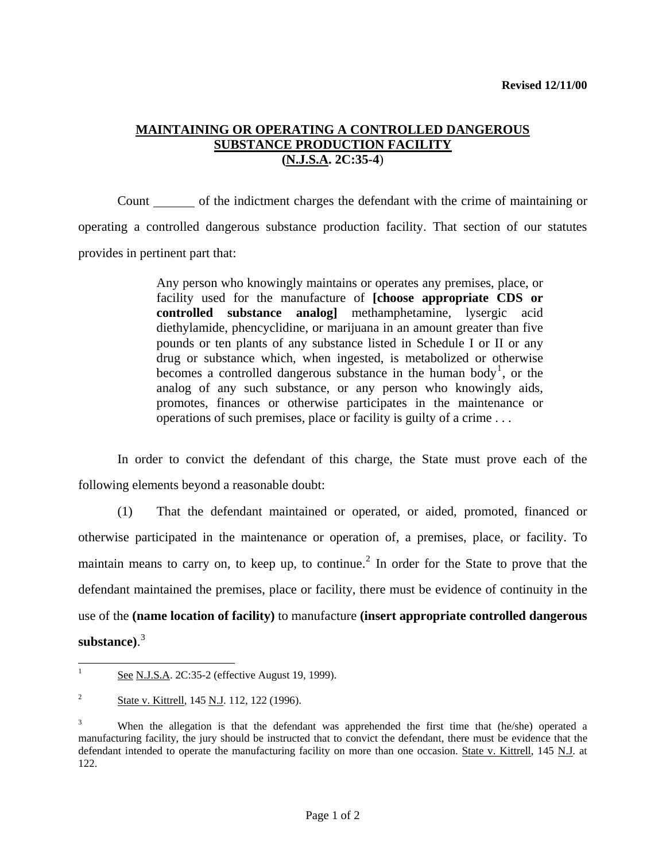## **MAINTAINING OR OPERATING A CONTROLLED DANGEROUS SUBSTANCE PRODUCTION FACILITY (N.J.S.A. 2C:35-4**)

 Count of the indictment charges the defendant with the crime of maintaining or operating a controlled dangerous substance production facility. That section of our statutes provides in pertinent part that:

> Any person who knowingly maintains or operates any premises, place, or facility used for the manufacture of **[choose appropriate CDS or controlled substance analog]** methamphetamine, lysergic acid diethylamide, phencyclidine, or marijuana in an amount greater than five pounds or ten plants of any substance listed in Schedule I or II or any drug or substance which, when ingested, is metabolized or otherwise becomes a controlled dangerous substance in the human body<sup>[1](#page-0-0)</sup>, or the analog of any such substance, or any person who knowingly aids, promotes, finances or otherwise participates in the maintenance or operations of such premises, place or facility is guilty of a crime . . .

 In order to convict the defendant of this charge, the State must prove each of the following elements beyond a reasonable doubt:

 (1) That the defendant maintained or operated, or aided, promoted, financed or otherwise participated in the maintenance or operation of, a premises, place, or facility. To maintain means to carry on, to keep up, to continue.<sup>[2](#page-0-1)</sup> In order for the State to prove that the defendant maintained the premises, place or facility, there must be evidence of continuity in the use of the **(name location of facility)** to manufacture **(insert appropriate controlled dangerous substance)**. [3](#page-0-2)

<span id="page-0-0"></span><sup>|&</sup>lt;br>|<br>| See N.J.S.A. 2C:35-2 (effective August 19, 1999).

<span id="page-0-1"></span><sup>2</sup> State v. Kittrell, 145 N.J. 112, 122 (1996).

<span id="page-0-3"></span><span id="page-0-2"></span><sup>3</sup> When the allegation is that the defendant was apprehended the first time that (he/she) operated a manufacturing facility, the jury should be instructed that to convict the defendant, there must be evidence that the defendant intended to operate the manufacturing facility on more than one occasion. State v. Kittrell, 145 N.J. at 122.